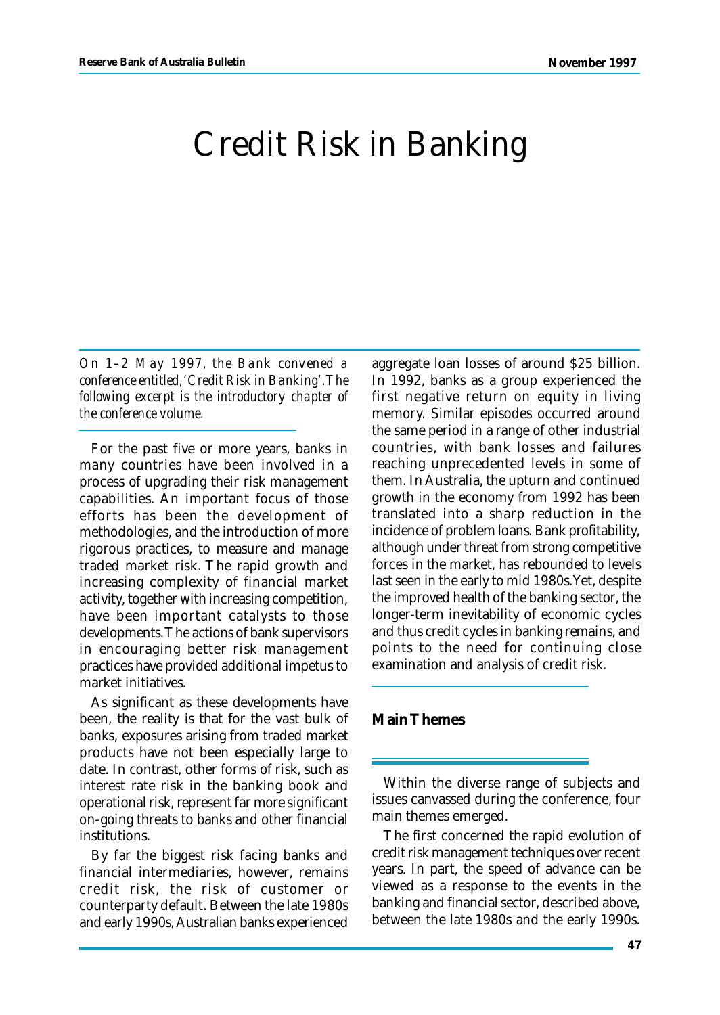## Credit Risk in Banking

*On 1–2 May 1997, the Bank convened a conference entitled, 'Credit Risk in Banking'. The following excerpt is the introductory chapter of the conference volume.*

For the past five or more years, banks in many countries have been involved in a process of upgrading their risk management capabilities. An important focus of those efforts has been the development of methodologies, and the introduction of more rigorous practices, to measure and manage traded market risk. The rapid growth and increasing complexity of financial market activity, together with increasing competition, have been important catalysts to those developments. The actions of bank supervisors in encouraging better risk management practices have provided additional impetus to market initiatives.

As significant as these developments have been, the reality is that for the vast bulk of banks, exposures arising from traded market products have not been especially large to date. In contrast, other forms of risk, such as interest rate risk in the banking book and operational risk, represent far more significant on-going threats to banks and other financial institutions.

By far the biggest risk facing banks and financial intermediaries, however, remains credit risk, the risk of customer or counterparty default. Between the late 1980s and early 1990s, Australian banks experienced aggregate loan losses of around \$25 billion. In 1992, banks as a group experienced the first negative return on equity in living memory. Similar episodes occurred around the same period in a range of other industrial countries, with bank losses and failures reaching unprecedented levels in some of them. In Australia, the upturn and continued growth in the economy from 1992 has been translated into a sharp reduction in the incidence of problem loans. Bank profitability, although under threat from strong competitive forces in the market, has rebounded to levels last seen in the early to mid 1980s. Yet, despite the improved health of the banking sector, the longer-term inevitability of economic cycles and thus credit cycles in banking remains, and points to the need for continuing close examination and analysis of credit risk.

## **Main Themes**

Within the diverse range of subjects and issues canvassed during the conference, four main themes emerged.

The first concerned the rapid evolution of credit risk management techniques over recent years. In part, the speed of advance can be viewed as a response to the events in the banking and financial sector, described above, between the late 1980s and the early 1990s.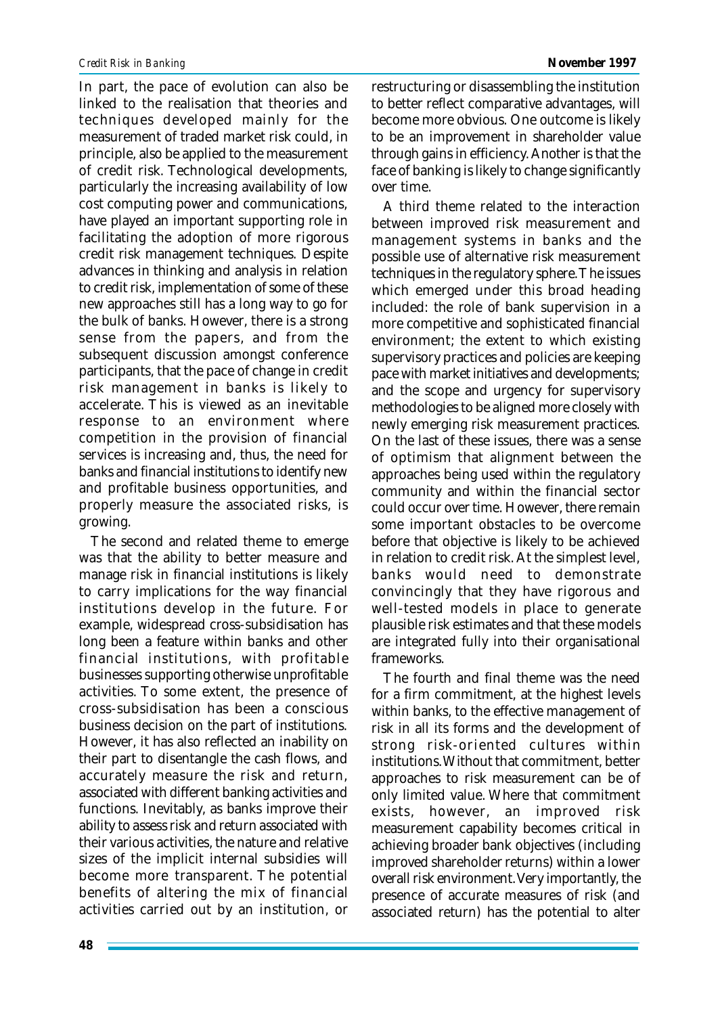In part, the pace of evolution can also be linked to the realisation that theories and techniques developed mainly for the measurement of traded market risk could, in principle, also be applied to the measurement of credit risk. Technological developments, particularly the increasing availability of low cost computing power and communications, have played an important supporting role in facilitating the adoption of more rigorous credit risk management techniques. Despite advances in thinking and analysis in relation to credit risk, implementation of some of these new approaches still has a long way to go for the bulk of banks. However, there is a strong sense from the papers, and from the subsequent discussion amongst conference participants, that the pace of change in credit risk management in banks is likely to accelerate. This is viewed as an inevitable response to an environment where competition in the provision of financial services is increasing and, thus, the need for banks and financial institutions to identify new and profitable business opportunities, and properly measure the associated risks, is growing.

The second and related theme to emerge was that the ability to better measure and manage risk in financial institutions is likely to carry implications for the way financial institutions develop in the future. For example, widespread cross-subsidisation has long been a feature within banks and other financial institutions, with profitable businesses supporting otherwise unprofitable activities. To some extent, the presence of cross-subsidisation has been a conscious business decision on the part of institutions. However, it has also reflected an inability on their part to disentangle the cash flows, and accurately measure the risk and return, associated with different banking activities and functions. Inevitably, as banks improve their ability to assess risk and return associated with their various activities, the nature and relative sizes of the implicit internal subsidies will become more transparent. The potential benefits of altering the mix of financial activities carried out by an institution, or restructuring or disassembling the institution to better reflect comparative advantages, will become more obvious. One outcome is likely to be an improvement in shareholder value through gains in efficiency. Another is that the face of banking is likely to change significantly over time.

A third theme related to the interaction between improved risk measurement and management systems in banks and the possible use of alternative risk measurement techniques in the regulatory sphere. The issues which emerged under this broad heading included: the role of bank supervision in a more competitive and sophisticated financial environment; the extent to which existing supervisory practices and policies are keeping pace with market initiatives and developments; and the scope and urgency for supervisory methodologies to be aligned more closely with newly emerging risk measurement practices. On the last of these issues, there was a sense of optimism that alignment between the approaches being used within the regulatory community and within the financial sector could occur over time. However, there remain some important obstacles to be overcome before that objective is likely to be achieved in relation to credit risk. At the simplest level, banks would need to demonstrate convincingly that they have rigorous and well-tested models in place to generate plausible risk estimates and that these models are integrated fully into their organisational frameworks.

The fourth and final theme was the need for a firm commitment, at the highest levels within banks, to the effective management of risk in all its forms and the development of strong risk-oriented cultures within institutions. Without that commitment, better approaches to risk measurement can be of only limited value. Where that commitment exists, however, an improved risk measurement capability becomes critical in achieving broader bank objectives (including improved shareholder returns) within a lower overall risk environment. Very importantly, the presence of accurate measures of risk (and associated return) has the potential to alter